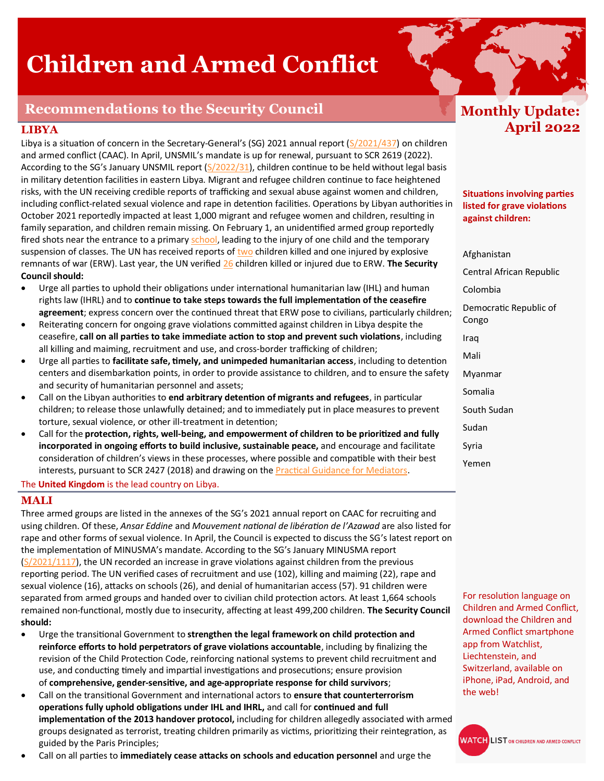# **Children and Armed Conflict**

## **Recommendations to the Security Council**

#### **LIBYA**

Libya is a situation of concern in the Secretary-General's (SG) 2021 annual report ([S/2021/437\)](https://undocs.org/s/2021/437) on children and armed conflict (CAAC). In April, UNSMIL's mandate is up for renewal, pursuant to SCR 2619 (2022). According to the SG's January UNSMIL report [\(S/2022/31\),](https://documents-dds-ny.un.org/doc/UNDOC/GEN/N22/230/28/PDF/N2223028.pdf?OpenElement) children continue to be held without legal basis in military detention facilities in eastern Libya. Migrant and refugee children continue to face heightened risks, with the UN receiving credible reports of trafficking and sexual abuse against women and children, including conflict-related sexual violence and rape in detention facilities. Operations by Libyan authorities in October 2021 reportedly impacted at least 1,000 migrant and refugee women and children, resulting in family separation, and children remain missing. On February 1, an unidentified armed group reportedly fired shots near the entrance to a primary [school,](https://www.humanitarianresponse.info/sites/www.humanitarianresponse.info/files/documents/files/flash_update-_school_shooting_1_feb_2022.pdf) leading to the injury of one child and the temporary suspension of classes. The UN has received reports of [two](https://twitter.com/UnicefLibya/status/1508090528008749072?s=20&t=ZFYzKfekIz_6bfXHnuLDgg) children killed and one injured by explosive remnants of war (ERW). Last year, the UN verified [26](https://twitter.com/UnicefLibya/status/1508090530886041614?s=20&t=ZFYzKfekIz_6bfXHnuLDgg) children killed or injured due to ERW. **The Security Council should:** 

- Urge all parties to uphold their obligations under international humanitarian law (IHL) and human rights law (IHRL) and to **continue to take steps towards the full implementation of the ceasefire agreement**; express concern over the continued threat that ERW pose to civilians, particularly children;
- Reiterating concern for ongoing grave violations committed against children in Libya despite the ceasefire, **call on all parties to take immediate action to stop and prevent such violations**, including all killing and maiming, recruitment and use, and cross-border trafficking of children;
- Urge all parties to **facilitate safe, timely, and unimpeded humanitarian access**, including to detention centers and disembarkation points, in order to provide assistance to children, and to ensure the safety and security of humanitarian personnel and assets;
- Call on the Libyan authorities to **end arbitrary detention of migrants and refugees**, in particular children; to release those unlawfully detained; and to immediately put in place measures to prevent torture, sexual violence, or other ill-treatment in detention;
- Call for the **protection, rights, well-being, and empowerment of children to be prioritized and fully incorporated in ongoing efforts to build inclusive, sustainable peace,** and encourage and facilitate consideration of children's views in these processes, where possible and compatible with their best interests, pursuant to SCR 2427 (2018) and drawing on the [Practical Guidance for Mediators.](https://childrenandarmedconflict.un.org/wp-content/uploads/2020/04/Practical-guidance-for-mediators-to-protect-children-in-situations-of-armed-conflict.pdf)

The **United Kingdom** is the lead country on Libya.

#### **MALI**

Three armed groups are listed in the annexes of the SG's 2021 annual report on CAAC for recruiting and using children. Of these, *Ansar Eddine* and *Mouvement national de libération de l'Azawad* are also listed for rape and other forms of sexual violence. In April, the Council is expected to discuss the SG's latest report on the implementation of MINUSMA's mandate. According to the SG's January MINUSMA report  $(S/2021/1117)$ , the UN recorded an increase in grave violations against children from the previous reporting period. The UN verified cases of recruitment and use (102), killing and maiming (22), rape and sexual violence (16), attacks on schools (26), and denial of humanitarian access (57). 91 children were separated from armed groups and handed over to civilian child protection actors. At least 1,664 schools remained non-functional, mostly due to insecurity, affecting at least 499,200 children. **The Security Council should:**

- Urge the transitional Government to **strengthen the legal framework on child protection and reinforce efforts to hold perpetrators of grave violations accountable**, including by finalizing the revision of the Child Protection Code, reinforcing national systems to prevent child recruitment and use, and conducting timely and impartial investigations and prosecutions; ensure provision of **comprehensive, gender-sensitive, and age-appropriate response for child survivors**;
- Call on the transitional Government and international actors to **ensure that counterterrorism operations fully uphold obligations under IHL and IHRL,** and call for **continued and full implementation of the 2013 handover protocol,** including for children allegedly associated with armed groups designated as terrorist, treating children primarily as victims, prioritizing their reintegration, as guided by the Paris Principles;
- Call on all parties to **immediately cease attacks on schools and education personnel** and urge the



**Situations involving parties listed for grave violations against children:** 

Afghanistan Central African Republic Colombia Democratic Republic of Congo Iraq Mali Myanmar Somalia South Sudan Sudan Syria Yemen

For resolution language on Children and Armed Conflict, download the Children and Armed Conflict smartphone app from Watchlist, Liechtenstein, and Switzerland, available on iPhone, iPad, Android, and the web!